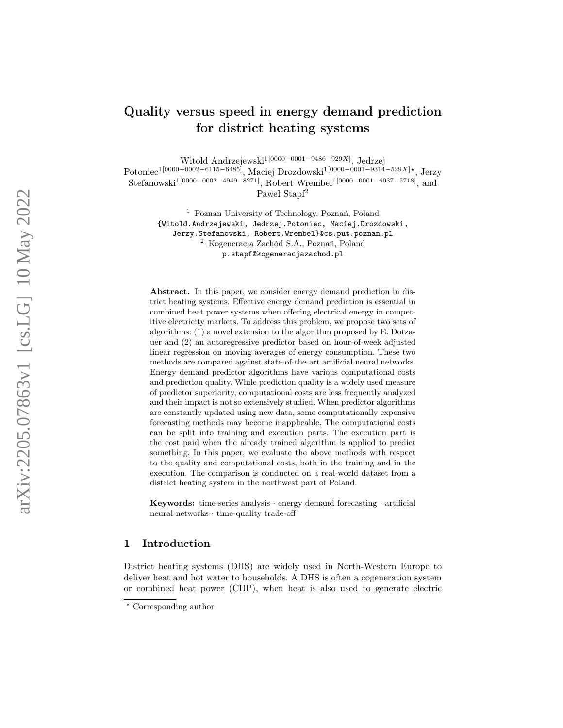# Quality versus speed in energy demand prediction for district heating systems

Witold Andrzejewski<sup>1[0000–0001–9486–929X]</sup>, Jędrzej

 $\text{Potonie} \text{c}^{1[0000-0002-6115-6485]}, \text{Maciej} \text{ Drozdowski}^{1[0000-0001-9314-529X] \star}, \text{Jerzy}$ 

 $\text{Stefanowski}^{1[0000-0002-4949-8271]},$  Robert Wrembel<sup>1[0000–0001–6037–5718]</sup>, and

Paweł Stapf<sup>2</sup>

<sup>1</sup> Poznan University of Technology, Poznań, Poland {Witold.Andrzejewski, Jedrzej.Potoniec, Maciej.Drozdowski, Jerzy.Stefanowski, Robert.Wrembel}@cs.put.poznan.pl <sup>2</sup> Kogeneracja Zachód S.A., Poznań, Poland p.stapf@kogeneracjazachod.pl

Abstract. In this paper, we consider energy demand prediction in district heating systems. Effective energy demand prediction is essential in combined heat power systems when offering electrical energy in competitive electricity markets. To address this problem, we propose two sets of algorithms: (1) a novel extension to the algorithm proposed by E. Dotzauer and (2) an autoregressive predictor based on hour-of-week adjusted linear regression on moving averages of energy consumption. These two methods are compared against state-of-the-art artificial neural networks. Energy demand predictor algorithms have various computational costs and prediction quality. While prediction quality is a widely used measure of predictor superiority, computational costs are less frequently analyzed and their impact is not so extensively studied. When predictor algorithms are constantly updated using new data, some computationally expensive forecasting methods may become inapplicable. The computational costs can be split into training and execution parts. The execution part is the cost paid when the already trained algorithm is applied to predict something. In this paper, we evaluate the above methods with respect to the quality and computational costs, both in the training and in the execution. The comparison is conducted on a real-world dataset from a district heating system in the northwest part of Poland.

Keywords: time-series analysis · energy demand forecasting · artificial neural networks · time-quality trade-off

## 1 Introduction

District heating systems (DHS) are widely used in North-Western Europe to deliver heat and hot water to households. A DHS is often a cogeneration system or combined heat power (CHP), when heat is also used to generate electric

<sup>?</sup> Corresponding author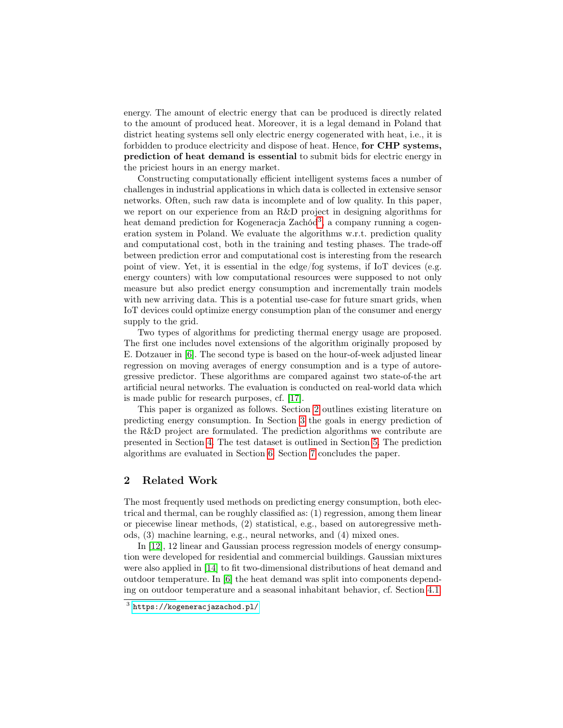energy. The amount of electric energy that can be produced is directly related to the amount of produced heat. Moreover, it is a legal demand in Poland that district heating systems sell only electric energy cogenerated with heat, i.e., it is forbidden to produce electricity and dispose of heat. Hence, for CHP systems, prediction of heat demand is essential to submit bids for electric energy in the priciest hours in an energy market.

Constructing computationally efficient intelligent systems faces a number of challenges in industrial applications in which data is collected in extensive sensor networks. Often, such raw data is incomplete and of low quality. In this paper, we report on our experience from an R&D project in designing algorithms for heat demand prediction for Kogeneracja Zachód<sup>[3](#page-1-0)</sup>, a company running a cogeneration system in Poland. We evaluate the algorithms w.r.t. prediction quality and computational cost, both in the training and testing phases. The trade-off between prediction error and computational cost is interesting from the research point of view. Yet, it is essential in the edge/fog systems, if IoT devices (e.g. energy counters) with low computational resources were supposed to not only measure but also predict energy consumption and incrementally train models with new arriving data. This is a potential use-case for future smart grids, when IoT devices could optimize energy consumption plan of the consumer and energy supply to the grid.

Two types of algorithms for predicting thermal energy usage are proposed. The first one includes novel extensions of the algorithm originally proposed by E. Dotzauer in [\[6\]](#page-12-0). The second type is based on the hour-of-week adjusted linear regression on moving averages of energy consumption and is a type of autoregressive predictor. These algorithms are compared against two state-of-the art artificial neural networks. The evaluation is conducted on real-world data which is made public for research purposes, cf. [\[17\]](#page-12-1).

This paper is organized as follows. Section [2](#page-1-1) outlines existing literature on predicting energy consumption. In Section [3](#page-3-0) the goals in energy prediction of the R&D project are formulated. The prediction algorithms we contribute are presented in Section [4.](#page-3-1) The test dataset is outlined in Section [5.](#page-7-0) The prediction algorithms are evaluated in Section [6.](#page-8-0) Section [7](#page-11-0) concludes the paper.

## <span id="page-1-1"></span>2 Related Work

The most frequently used methods on predicting energy consumption, both electrical and thermal, can be roughly classified as: (1) regression, among them linear or piecewise linear methods, (2) statistical, e.g., based on autoregressive methods, (3) machine learning, e.g., neural networks, and (4) mixed ones.

In [\[12\]](#page-12-2), 12 linear and Gaussian process regression models of energy consumption were developed for residential and commercial buildings. Gaussian mixtures were also applied in [\[14\]](#page-12-3) to fit two-dimensional distributions of heat demand and outdoor temperature. In [\[6\]](#page-12-0) the heat demand was split into components depending on outdoor temperature and a seasonal inhabitant behavior, cf. Section [4.1.](#page-3-2)

<span id="page-1-0"></span> $^3$  <https://kogeneracjazachod.pl/>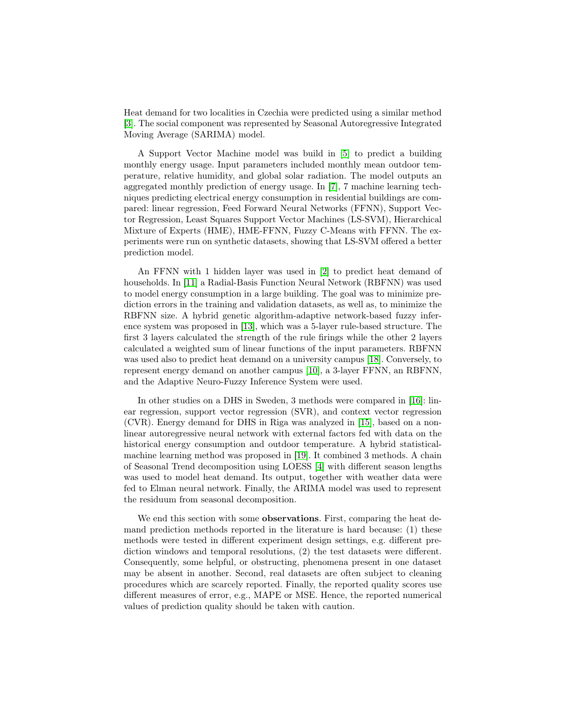Heat demand for two localities in Czechia were predicted using a similar method [\[3\]](#page-11-1). The social component was represented by Seasonal Autoregressive Integrated Moving Average (SARIMA) model.

A Support Vector Machine model was build in [\[5\]](#page-12-4) to predict a building monthly energy usage. Input parameters included monthly mean outdoor temperature, relative humidity, and global solar radiation. The model outputs an aggregated monthly prediction of energy usage. In [\[7\]](#page-12-5), 7 machine learning techniques predicting electrical energy consumption in residential buildings are compared: linear regression, Feed Forward Neural Networks (FFNN), Support Vector Regression, Least Squares Support Vector Machines (LS-SVM), Hierarchical Mixture of Experts (HME), HME-FFNN, Fuzzy C-Means with FFNN. The experiments were run on synthetic datasets, showing that LS-SVM offered a better prediction model.

An FFNN with 1 hidden layer was used in [\[2\]](#page-11-2) to predict heat demand of households. In [\[11\]](#page-12-6) a Radial-Basis Function Neural Network (RBFNN) was used to model energy consumption in a large building. The goal was to minimize prediction errors in the training and validation datasets, as well as, to minimize the RBFNN size. A hybrid genetic algorithm-adaptive network-based fuzzy inference system was proposed in [\[13\]](#page-12-7), which was a 5-layer rule-based structure. The first 3 layers calculated the strength of the rule firings while the other 2 layers calculated a weighted sum of linear functions of the input parameters. RBFNN was used also to predict heat demand on a university campus [\[18\]](#page-12-8). Conversely, to represent energy demand on another campus [\[10\]](#page-12-9), a 3-layer FFNN, an RBFNN, and the Adaptive Neuro-Fuzzy Inference System were used.

In other studies on a DHS in Sweden, 3 methods were compared in [\[16\]](#page-12-10): linear regression, support vector regression (SVR), and context vector regression (CVR). Energy demand for DHS in Riga was analyzed in [\[15\]](#page-12-11), based on a nonlinear autoregressive neural network with external factors fed with data on the historical energy consumption and outdoor temperature. A hybrid statisticalmachine learning method was proposed in [\[19\]](#page-12-12). It combined 3 methods. A chain of Seasonal Trend decomposition using LOESS [\[4\]](#page-11-3) with different season lengths was used to model heat demand. Its output, together with weather data were fed to Elman neural network. Finally, the ARIMA model was used to represent the residuum from seasonal decomposition.

We end this section with some **observations**. First, comparing the heat demand prediction methods reported in the literature is hard because: (1) these methods were tested in different experiment design settings, e.g. different prediction windows and temporal resolutions, (2) the test datasets were different. Consequently, some helpful, or obstructing, phenomena present in one dataset may be absent in another. Second, real datasets are often subject to cleaning procedures which are scarcely reported. Finally, the reported quality scores use different measures of error, e.g., MAPE or MSE. Hence, the reported numerical values of prediction quality should be taken with caution.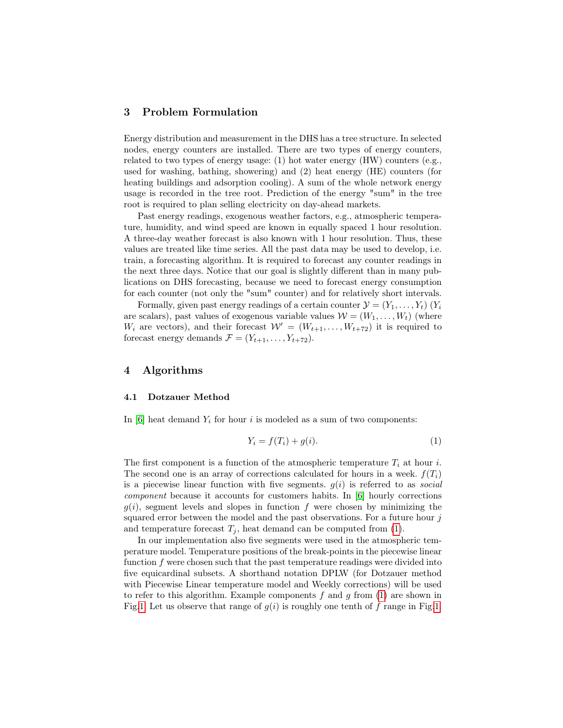#### <span id="page-3-0"></span>3 Problem Formulation

Energy distribution and measurement in the DHS has a tree structure. In selected nodes, energy counters are installed. There are two types of energy counters, related to two types of energy usage: (1) hot water energy (HW) counters (e.g., used for washing, bathing, showering) and (2) heat energy (HE) counters (for heating buildings and adsorption cooling). A sum of the whole network energy usage is recorded in the tree root. Prediction of the energy "sum" in the tree root is required to plan selling electricity on day-ahead markets.

Past energy readings, exogenous weather factors, e.g., atmospheric temperature, humidity, and wind speed are known in equally spaced 1 hour resolution. A three-day weather forecast is also known with 1 hour resolution. Thus, these values are treated like time series. All the past data may be used to develop, i.e. train, a forecasting algorithm. It is required to forecast any counter readings in the next three days. Notice that our goal is slightly different than in many publications on DHS forecasting, because we need to forecast energy consumption for each counter (not only the "sum" counter) and for relatively short intervals.

Formally, given past energy readings of a certain counter  $\mathcal{Y} = (Y_1, \ldots, Y_t)$   $(Y_i$ are scalars), past values of exogenous variable values  $W = (W_1, \ldots, W_t)$  (where  $W_i$  are vectors), and their forecast  $\mathcal{W}' = (W_{t+1}, \ldots, W_{t+72})$  it is required to forecast energy demands  $\mathcal{F} = (Y_{t+1}, \ldots, Y_{t+72}).$ 

#### <span id="page-3-1"></span>4 Algorithms

#### <span id="page-3-2"></span>4.1 Dotzauer Method

In [\[6\]](#page-12-0) heat demand  $Y_i$  for hour i is modeled as a sum of two components:

<span id="page-3-3"></span>
$$
Y_i = f(T_i) + g(i). \tag{1}
$$

The first component is a function of the atmospheric temperature  $T_i$  at hour i. The second one is an array of corrections calculated for hours in a week.  $f(T_i)$ is a piecewise linear function with five segments.  $g(i)$  is referred to as *social* component because it accounts for customers habits. In [\[6\]](#page-12-0) hourly corrections  $g(i)$ , segment levels and slopes in function f were chosen by minimizing the squared error between the model and the past observations. For a future hour j and temperature forecast  $T_j$ , heat demand can be computed from [\(1\)](#page-3-3).

In our implementation also five segments were used in the atmospheric temperature model. Temperature positions of the break-points in the piecewise linear function f were chosen such that the past temperature readings were divided into five equicardinal subsets. A shorthand notation DPLW (for Dotzauer method with Piecewise Linear temperature model and Weekly corrections) will be used to refer to this algorithm. Example components  $f$  and  $g$  from  $(1)$  are shown in Fig[.1.](#page-4-0) Let us observe that range of  $g(i)$  is roughly one tenth of f range in Fig.1.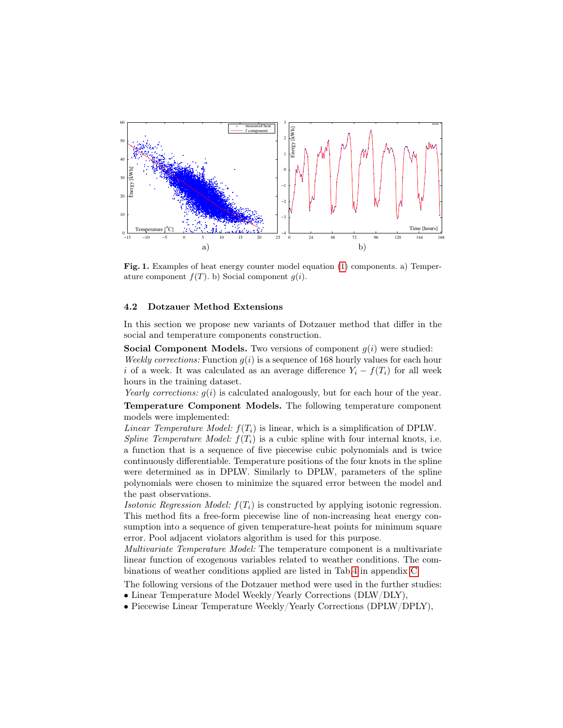

<span id="page-4-0"></span>Fig. 1. Examples of heat energy counter model equation [\(1\)](#page-3-3) components. a) Temperature component  $f(T)$ . b) Social component  $q(i)$ .

#### 4.2 Dotzauer Method Extensions

In this section we propose new variants of Dotzauer method that differ in the social and temperature components construction.

**Social Component Models.** Two versions of component  $g(i)$  were studied:

Weekly corrections: Function  $g(i)$  is a sequence of 168 hourly values for each hour i of a week. It was calculated as an average difference  $Y_i - f(T_i)$  for all week hours in the training dataset.

Yearly corrections:  $g(i)$  is calculated analogously, but for each hour of the year.

Temperature Component Models. The following temperature component models were implemented:

Linear Temperature Model:  $f(T_i)$  is linear, which is a simplification of DPLW.

Spline Temperature Model:  $f(T_i)$  is a cubic spline with four internal knots, i.e. a function that is a sequence of five piecewise cubic polynomials and is twice continuously differentiable. Temperature positions of the four knots in the spline were determined as in DPLW. Similarly to DPLW, parameters of the spline polynomials were chosen to minimize the squared error between the model and the past observations.

Isotonic Regression Model:  $f(T_i)$  is constructed by applying isotonic regression. This method fits a free-form piecewise line of non-increasing heat energy consumption into a sequence of given temperature-heat points for minimum square error. Pool adjacent violators algorithm is used for this purpose.

Multivariate Temperature Model: The temperature component is a multivariate linear function of exogenous variables related to weather conditions. The combinations of weather conditions applied are listed in Tab[.4](#page-13-0) in appendix [C.](#page-13-1)

The following versions of the Dotzauer method were used in the further studies:

- Linear Temperature Model Weekly/Yearly Corrections (DLW/DLY),
- Piecewise Linear Temperature Weekly/Yearly Corrections (DPLW/DPLY),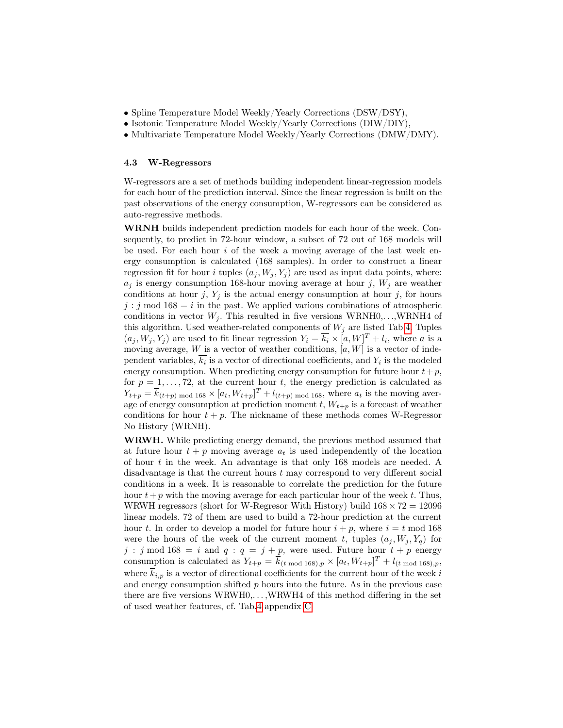- Spline Temperature Model Weekly/Yearly Corrections (DSW/DSY),
- Isotonic Temperature Model Weekly/Yearly Corrections (DIW/DIY),
- Multivariate Temperature Model Weekly/Yearly Corrections (DMW/DMY).

#### 4.3 W-Regressors

W-regressors are a set of methods building independent linear-regression models for each hour of the prediction interval. Since the linear regression is built on the past observations of the energy consumption, W-regressors can be considered as auto-regressive methods.

WRNH builds independent prediction models for each hour of the week. Consequently, to predict in 72-hour window, a subset of 72 out of 168 models will be used. For each hour  $i$  of the week a moving average of the last week energy consumption is calculated (168 samples). In order to construct a linear regression fit for hour *i* tuples  $(a_i, W_i, Y_i)$  are used as input data points, where:  $a_i$  is energy consumption 168-hour moving average at hour j,  $W_i$  are weather conditions at hour j,  $Y_i$  is the actual energy consumption at hour j, for hours  $j : j \mod 168 = i$  in the past. We applied various combinations of atmospheric conditions in vector  $W_j$ . This resulted in five versions WRNH0,...,WRNH4 of this algorithm. Used weather-related components of  $W_j$  are listed Tab[.4.](#page-13-0) Tuples  $(a_j, W_j, Y_j)$  are used to fit linear regression  $Y_i = \overline{k_i} \times [a, W]^T + l_i$ , where a is a moving average, W is a vector of weather conditions,  $[a, W]$  is a vector of independent variables,  $k_i$  is a vector of directional coefficients, and  $Y_i$  is the modeled energy consumption. When predicting energy consumption for future hour  $t+p$ , for  $p = 1, \ldots, 72$ , at the current hour t, the energy prediction is calculated as  $Y_{t+p} = \overline{k}_{(t+p) \text{ mod } 168} \times [a_t, W_{t+p}]^T + l_{(t+p) \text{ mod } 168}$ , where  $a_t$  is the moving average of energy consumption at prediction moment t,  $W_{t+p}$  is a forecast of weather conditions for hour  $t + p$ . The nickname of these methods comes W-Regressor No History (WRNH).

WRWH. While predicting energy demand, the previous method assumed that at future hour  $t + p$  moving average  $a_t$  is used independently of the location of hour  $t$  in the week. An advantage is that only 168 models are needed. A disadvantage is that the current hours t may correspond to very different social conditions in a week. It is reasonable to correlate the prediction for the future hour  $t+p$  with the moving average for each particular hour of the week t. Thus, WRWH regressors (short for W-Regresor With History) build  $168 \times 72 = 12096$ linear models. 72 of them are used to build a 72-hour prediction at the current hour t. In order to develop a model for future hour  $i + p$ , where  $i = t \mod 168$ were the hours of the week of the current moment t, tuples  $(a_i, W_i, Y_q)$  for j : j mod 168 = i and  $q : q = j + p$ , were used. Future hour  $t + p$  energy consumption is calculated as  $Y_{t+p} = \overline{k}_{(t \mod 168),p} \times [a_t, W_{t+p}]^T + l_{(t \mod 168),p}$ , where  $\overline{k}_{i,p}$  is a vector of directional coefficients for the current hour of the week i and energy consumption shifted  $p$  hours into the future. As in the previous case there are five versions WRWH0,. . . ,WRWH4 of this method differing in the set of used weather features, cf. Tab[.4](#page-13-0) appendix [C.](#page-13-1)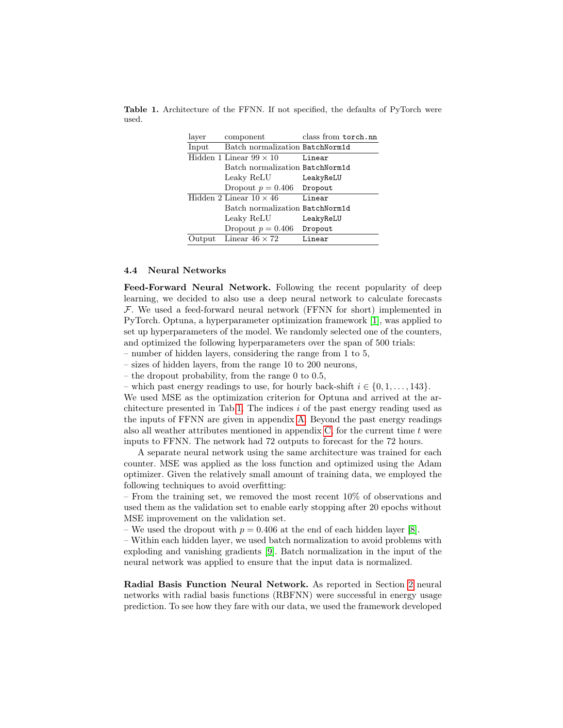Table 1. Architecture of the FFNN. If not specified, the defaults of PyTorch were used.

<span id="page-6-0"></span>

| laver  | component                       | class from torch.nn |
|--------|---------------------------------|---------------------|
| Input  | Batch normalization BatchNorm1d |                     |
|        | Hidden 1 Linear $99 \times 10$  | Linear              |
|        | Batch normalization BatchNorm1d |                     |
|        | Leaky ReLU                      | LeakyReLU           |
|        | Dropout $p = 0.406$             | Dropout             |
|        | Hidden 2 Linear $10 \times 46$  | Linear              |
|        | Batch normalization BatchNorm1d |                     |
|        | Leaky ReLU                      | LeakyReLU           |
|        | Dropout $p = 0.406$             | Dropout             |
| )utput | Linear $46 \times 72$           | Linear              |

#### 4.4 Neural Networks

Feed-Forward Neural Network. Following the recent popularity of deep learning, we decided to also use a deep neural network to calculate forecasts F. We used a feed-forward neural network (FFNN for short) implemented in PyTorch. Optuna, a hyperparameter optimization framework [\[1\]](#page-11-4), was applied to set up hyperparameters of the model. We randomly selected one of the counters, and optimized the following hyperparameters over the span of 500 trials:

– number of hidden layers, considering the range from 1 to 5,

– sizes of hidden layers, from the range 10 to 200 neurons,

– the dropout probability, from the range 0 to 0.5,

– which past energy readings to use, for hourly back-shift  $i \in \{0, 1, \ldots, 143\}$ .

We used MSE as the optimization criterion for Optuna and arrived at the ar-chitecture presented in Tab[.1.](#page-6-0) The indices  $i$  of the past energy reading used as the inputs of FFNN are given in appendix [A.](#page-12-13) Beyond the past energy readings also all weather attributes mentioned in appendix  $C$ , for the current time  $t$  were inputs to FFNN. The network had 72 outputs to forecast for the 72 hours.

A separate neural network using the same architecture was trained for each counter. MSE was applied as the loss function and optimized using the Adam optimizer. Given the relatively small amount of training data, we employed the following techniques to avoid overfitting:

– From the training set, we removed the most recent 10% of observations and used them as the validation set to enable early stopping after 20 epochs without MSE improvement on the validation set.

– We used the dropout with  $p = 0.406$  at the end of each hidden layer [\[8\]](#page-12-14).

– Within each hidden layer, we used batch normalization to avoid problems with exploding and vanishing gradients [\[9\]](#page-12-15). Batch normalization in the input of the neural network was applied to ensure that the input data is normalized.

Radial Basis Function Neural Network. As reported in Section [2](#page-1-1) neural networks with radial basis functions (RBFNN) were successful in energy usage prediction. To see how they fare with our data, we used the framework developed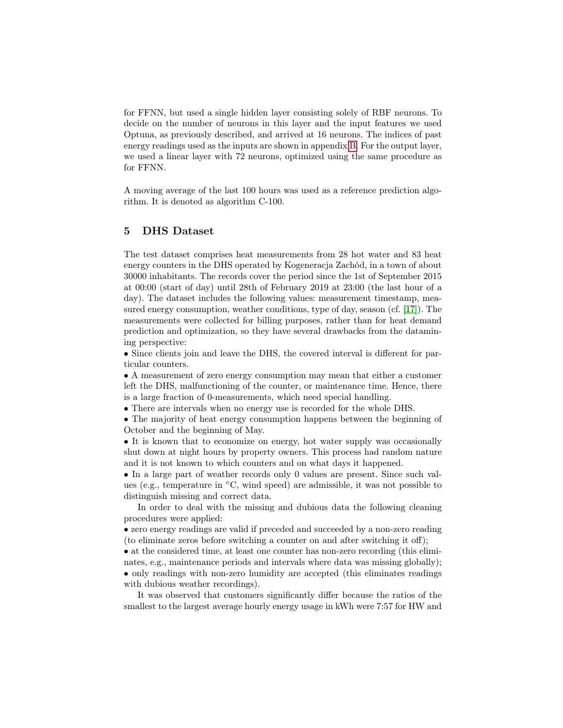for FFNN, but used a single hidden layer consisting solely of RBF neurons. To decide on the number of neurons in this layer and the input features we used Optuna, as previously described, and arrived at 16 neurons. The indices of past energy readings used as the inputs are shown in appendix [B.](#page-13-2) For the output layer, we used a linear layer with 72 neurons, optimized using the same procedure as for FFNN.

A moving average of the last 100 hours was used as a reference prediction algorithm. It is denoted as algorithm C-100.

### <span id="page-7-0"></span>5 DHS Dataset

The test dataset comprises heat measurements from 28 hot water and 83 heat energy counters in the DHS operated by Kogeneracja Zachód, in a town of about 30000 inhabitants. The records cover the period since the 1st of September 2015 at 00:00 (start of day) until 28th of February 2019 at 23:00 (the last hour of a day). The dataset includes the following values: measurement timestamp, measured energy consumption, weather conditions, type of day, season (cf. [\[17\]](#page-12-1)). The measurements were collected for billing purposes, rather than for heat demand prediction and optimization, so they have several drawbacks from the datamining perspective:

• Since clients join and leave the DHS, the covered interval is different for particular counters.

• A measurement of zero energy consumption may mean that either a customer left the DHS, malfunctioning of the counter, or maintenance time. Hence, there is a large fraction of 0-measurements, which need special handling.

• There are intervals when no energy use is recorded for the whole DHS.

• The majority of heat energy consumption happens between the beginning of October and the beginning of May.

• It is known that to economize on energy, hot water supply was occasionally shut down at night hours by property owners. This process had random nature and it is not known to which counters and on what days it happened.

• In a large part of weather records only 0 values are present. Since such values (e.g., temperature in ◦C, wind speed) are admissible, it was not possible to distinguish missing and correct data.

In order to deal with the missing and dubious data the following cleaning procedures were applied:

• zero energy readings are valid if preceded and succeeded by a non-zero reading (to eliminate zeros before switching a counter on and after switching it off);

• at the considered time, at least one counter has non-zero recording (this eliminates, e.g., maintenance periods and intervals where data was missing globally); • only readings with non-zero humidity are accepted (this eliminates readings with dubious weather recordings).

It was observed that customers significantly differ because the ratios of the smallest to the largest average hourly energy usage in kWh were 7:57 for HW and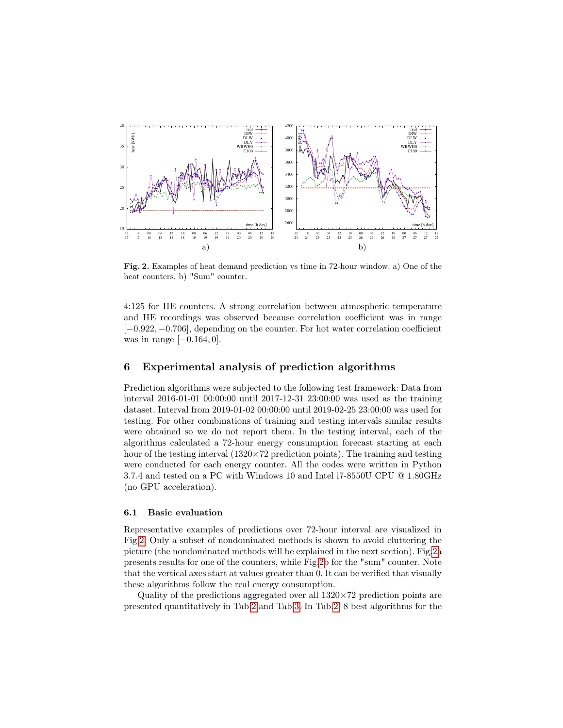

<span id="page-8-1"></span>Fig. 2. Examples of heat demand prediction vs time in 72-hour window. a) One of the heat counters. b) "Sum" counter.

4:125 for HE counters. A strong correlation between atmospheric temperature and HE recordings was observed because correlation coefficient was in range [−0.922, −0.706], depending on the counter. For hot water correlation coefficient was in range  $[-0.164, 0]$ .

#### <span id="page-8-0"></span>6 Experimental analysis of prediction algorithms

Prediction algorithms were subjected to the following test framework: Data from interval 2016-01-01 00:00:00 until 2017-12-31 23:00:00 was used as the training dataset. Interval from 2019-01-02 00:00:00 until 2019-02-25 23:00:00 was used for testing. For other combinations of training and testing intervals similar results were obtained so we do not report them. In the testing interval, each of the algorithms calculated a 72-hour energy consumption forecast starting at each hour of the testing interval  $(1320\times72)$  prediction points). The training and testing were conducted for each energy counter. All the codes were written in Python 3.7.4 and tested on a PC with Windows 10 and Intel i7-8550U CPU @ 1.80GHz (no GPU acceleration).

#### 6.1 Basic evaluation

Representative examples of predictions over 72-hour interval are visualized in Fig[.2.](#page-8-1) Only a subset of nondominated methods is shown to avoid cluttering the picture (the nondominated methods will be explained in the next section). Fig[.2a](#page-8-1) presents results for one of the counters, while Fig[.2b](#page-8-1) for the "sum" counter. Note that the vertical axes start at values greater than 0. It can be verified that visually these algorithms follow the real energy consumption.

Quality of the predictions aggregated over all  $1320\times72$  prediction points are presented quantitatively in Tab[.2](#page-9-0) and Tab[.3.](#page-9-1) In Tab[.2,](#page-9-0) 8 best algorithms for the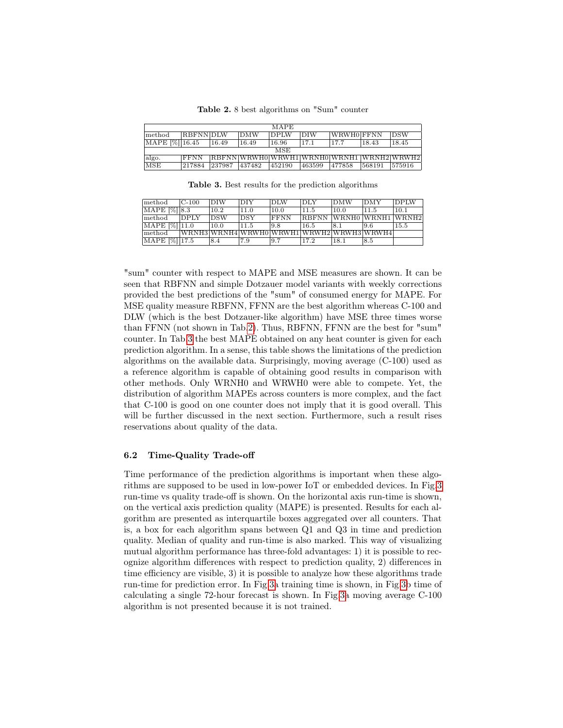<span id="page-9-0"></span>Table 2. 8 best algorithms on "Sum" counter

| <b>MAPE</b>    |                 |        |            |                                             |            |            |        |            |  |
|----------------|-----------------|--------|------------|---------------------------------------------|------------|------------|--------|------------|--|
| lmethod.       | <b>RBFNNDLW</b> |        | <b>DMW</b> | <b>DPLW</b>                                 | <b>DIW</b> | WRWHO FFNN |        | <b>DSW</b> |  |
| MAPE [%] 16.45 |                 | 16.49  | 16.49      | 16.96                                       | 17.1       | 17.7       | 18.43  | 18.45      |  |
|                | MSE             |        |            |                                             |            |            |        |            |  |
| algo.          | <b>IFFNN</b>    |        |            | [RBFNN]WRWH0]WRWH1]WRNH0]WRNH1  WRNH2]WRWH2 |            |            |        |            |  |
| <b>MSE</b>     | 217884          | 237987 | 437482     | 452190                                      | 463599     | 477858     | 568191 | 575916     |  |

<span id="page-9-1"></span>Table 3. Best results for the prediction algorithms

| method        | $C-100$     | <b>DIW</b> | DIY        | <b>DLW</b>   | <b>DLY</b>   | <b>DMW</b>                                | DMY  | DPIM |
|---------------|-------------|------------|------------|--------------|--------------|-------------------------------------------|------|------|
| MAPE [%] 8.3  |             | $10.2\,$   | 11.0       | 10.0         | 11.5         | 10.0                                      | 11.5 | 10.1 |
| method        | <b>DPLY</b> | <b>DSW</b> | <b>DSY</b> | <b>IFFNN</b> | <b>RBFNN</b> | WRNH0 WRNH1 WRNH2                         |      |      |
| MAPE [%] 11.0 |             | 10.0       | 11.5       | 19.8         | 16.5         | 18.1                                      | 19.6 | 15.5 |
| method        |             |            |            |              |              | WRNH3 WRNH4 WRWH0 WRWH1 WRWH2 WRWH3 WRWH4 |      |      |
| MAPE [%] 17.5 |             | 8.4        | 7.9        | 19.7         | 17.2         | 18.1                                      | 8.5  |      |

"sum" counter with respect to MAPE and MSE measures are shown. It can be seen that RBFNN and simple Dotzauer model variants with weekly corrections provided the best predictions of the "sum" of consumed energy for MAPE. For MSE quality measure RBFNN, FFNN are the best algorithm whereas C-100 and DLW (which is the best Dotzauer-like algorithm) have MSE three times worse than FFNN (not shown in Tab[.2\)](#page-9-0). Thus, RBFNN, FFNN are the best for "sum" counter. In Tab[.3](#page-9-1) the best MAPE obtained on any heat counter is given for each prediction algorithm. In a sense, this table shows the limitations of the prediction algorithms on the available data. Surprisingly, moving average (C-100) used as a reference algorithm is capable of obtaining good results in comparison with other methods. Only WRNH0 and WRWH0 were able to compete. Yet, the distribution of algorithm MAPEs across counters is more complex, and the fact that C-100 is good on one counter does not imply that it is good overall. This will be further discussed in the next section. Furthermore, such a result rises reservations about quality of the data.

#### 6.2 Time-Quality Trade-off

Time performance of the prediction algorithms is important when these algorithms are supposed to be used in low-power IoT or embedded devices. In Fig[.3](#page-10-0) run-time vs quality trade-off is shown. On the horizontal axis run-time is shown, on the vertical axis prediction quality (MAPE) is presented. Results for each algorithm are presented as interquartile boxes aggregated over all counters. That is, a box for each algorithm spans between Q1 and Q3 in time and prediction quality. Median of quality and run-time is also marked. This way of visualizing mutual algorithm performance has three-fold advantages: 1) it is possible to recognize algorithm differences with respect to prediction quality, 2) differences in time efficiency are visible, 3) it is possible to analyze how these algorithms trade run-time for prediction error. In Fig[.3a](#page-10-0) training time is shown, in Fig[.3b](#page-10-0) time of calculating a single 72-hour forecast is shown. In Fig[.3a](#page-10-0) moving average C-100 algorithm is not presented because it is not trained.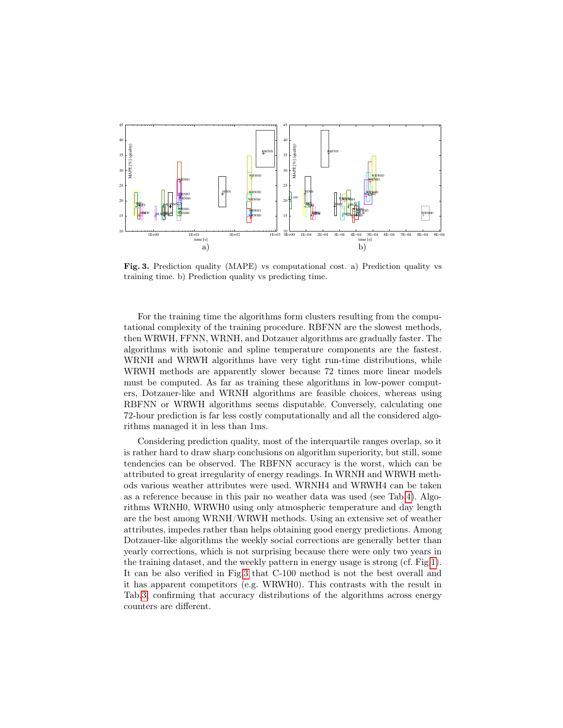

<span id="page-10-0"></span>Fig. 3. Prediction quality (MAPE) vs computational cost. a) Prediction quality vs training time. b) Prediction quality vs predicting time.

For the training time the algorithms form clusters resulting from the computational complexity of the training procedure. RBFNN are the slowest methods, then WRWH, FFNN, WRNH, and Dotzauer algorithms are gradually faster. The algorithms with isotonic and spline temperature components are the fastest. WRNH and WRWH algorithms have very tight run-time distributions, while WRWH methods are apparently slower because 72 times more linear models must be computed. As far as training these algorithms in low-power computers, Dotzauer-like and WRNH algorithms are feasible choices, whereas using RBFNN or WRWH algorithms seems disputable. Conversely, calculating one 72-hour prediction is far less costly computationally and all the considered algorithms managed it in less than 1ms.

Considering prediction quality, most of the interquartile ranges overlap, so it is rather hard to draw sharp conclusions on algorithm superiority, but still, some tendencies can be observed. The RBFNN accuracy is the worst, which can be attributed to great irregularity of energy readings. In WRNH and WRWH methods various weather attributes were used. WRNH4 and WRWH4 can be taken as a reference because in this pair no weather data was used (see Tab[.4\)](#page-13-0). Algorithms WRNH0, WRWH0 using only atmospheric temperature and day length are the best among WRNH/WRWH methods. Using an extensive set of weather attributes, impedes rather than helps obtaining good energy predictions. Among Dotzauer-like algorithms the weekly social corrections are generally better than yearly corrections, which is not surprising because there were only two years in the training dataset, and the weekly pattern in energy usage is strong (cf. Fig[.1\)](#page-4-0). It can be also verified in Fig[.3](#page-10-0) that C-100 method is not the best overall and it has apparent competitors (e.g. WRWH0). This contrasts with the result in Tab[.3,](#page-9-1) confirming that accuracy distributions of the algorithms across energy counters are different.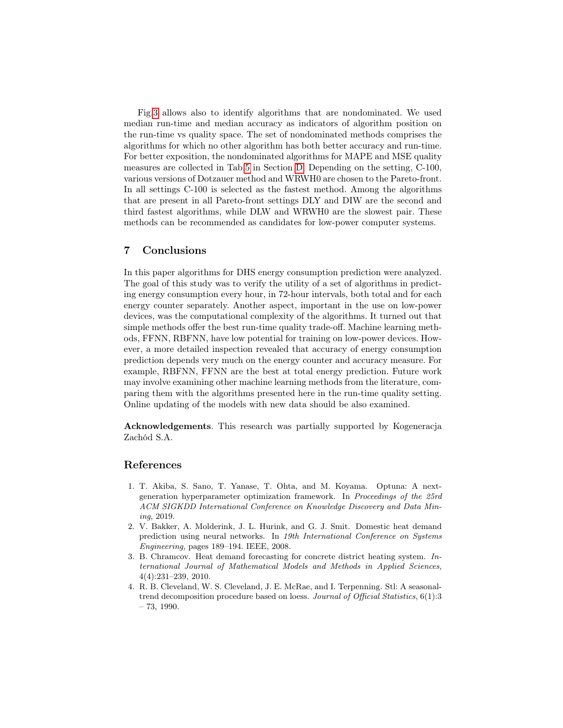Fig[.3](#page-10-0) allows also to identify algorithms that are nondominated. We used median run-time and median accuracy as indicators of algorithm position on the run-time vs quality space. The set of nondominated methods comprises the algorithms for which no other algorithm has both better accuracy and run-time. For better exposition, the nondominated algorithms for MAPE and MSE quality measures are collected in Tab[.5](#page-14-0) in Section [D.](#page-13-3) Depending on the setting, C-100, various versions of Dotzauer method and WRWH0 are chosen to the Pareto-front. In all settings C-100 is selected as the fastest method. Among the algorithms that are present in all Pareto-front settings DLY and DIW are the second and third fastest algorithms, while DLW and WRWH0 are the slowest pair. These methods can be recommended as candidates for low-power computer systems.

## <span id="page-11-0"></span>7 Conclusions

In this paper algorithms for DHS energy consumption prediction were analyzed. The goal of this study was to verify the utility of a set of algorithms in predicting energy consumption every hour, in 72-hour intervals, both total and for each energy counter separately. Another aspect, important in the use on low-power devices, was the computational complexity of the algorithms. It turned out that simple methods offer the best run-time quality trade-off. Machine learning methods, FFNN, RBFNN, have low potential for training on low-power devices. However, a more detailed inspection revealed that accuracy of energy consumption prediction depends very much on the energy counter and accuracy measure. For example, RBFNN, FFNN are the best at total energy prediction. Future work may involve examining other machine learning methods from the literature, comparing them with the algorithms presented here in the run-time quality setting. Online updating of the models with new data should be also examined.

Acknowledgements. This research was partially supported by Kogeneracja Zachód S.A.

### References

- <span id="page-11-4"></span>1. T. Akiba, S. Sano, T. Yanase, T. Ohta, and M. Koyama. Optuna: A nextgeneration hyperparameter optimization framework. In Proceedings of the 25rd ACM SIGKDD International Conference on Knowledge Discovery and Data Mining, 2019.
- <span id="page-11-2"></span>2. V. Bakker, A. Molderink, J. L. Hurink, and G. J. Smit. Domestic heat demand prediction using neural networks. In 19th International Conference on Systems Engineering, pages 189–194. IEEE, 2008.
- <span id="page-11-1"></span>3. B. Chramcov. Heat demand forecasting for concrete district heating system. International Journal of Mathematical Models and Methods in Applied Sciences, 4(4):231–239, 2010.
- <span id="page-11-3"></span>4. R. B. Cleveland, W. S. Cleveland, J. E. McRae, and I. Terpenning. Stl: A seasonaltrend decomposition procedure based on loess. Journal of Official Statistics, 6(1):3 – 73, 1990.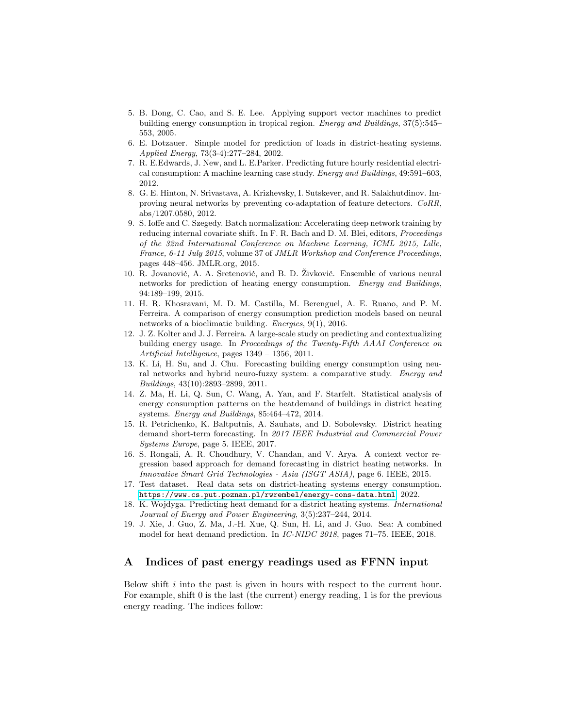- <span id="page-12-4"></span>5. B. Dong, C. Cao, and S. E. Lee. Applying support vector machines to predict building energy consumption in tropical region. Energy and Buildings, 37(5):545– 553, 2005.
- <span id="page-12-0"></span>6. E. Dotzauer. Simple model for prediction of loads in district-heating systems. Applied Energy, 73(3-4):277–284, 2002.
- <span id="page-12-5"></span>7. R. E.Edwards, J. New, and L. E.Parker. Predicting future hourly residential electrical consumption: A machine learning case study. Energy and Buildings, 49:591–603, 2012.
- <span id="page-12-14"></span>8. G. E. Hinton, N. Srivastava, A. Krizhevsky, I. Sutskever, and R. Salakhutdinov. Improving neural networks by preventing co-adaptation of feature detectors. CoRR, abs/1207.0580, 2012.
- <span id="page-12-15"></span>9. S. Ioffe and C. Szegedy. Batch normalization: Accelerating deep network training by reducing internal covariate shift. In F. R. Bach and D. M. Blei, editors, Proceedings of the 32nd International Conference on Machine Learning, ICML 2015, Lille, France, 6-11 July 2015, volume 37 of JMLR Workshop and Conference Proceedings, pages 448–456. JMLR.org, 2015.
- <span id="page-12-9"></span>10. R. Jovanović, A. A. Sretenović, and B. D. Živković. Ensemble of various neural networks for prediction of heating energy consumption. Energy and Buildings, 94:189–199, 2015.
- <span id="page-12-6"></span>11. H. R. Khosravani, M. D. M. Castilla, M. Berenguel, A. E. Ruano, and P. M. Ferreira. A comparison of energy consumption prediction models based on neural networks of a bioclimatic building. Energies, 9(1), 2016.
- <span id="page-12-2"></span>12. J. Z. Kolter and J. J. Ferreira. A large-scale study on predicting and contextualizing building energy usage. In Proceedings of the Twenty-Fifth AAAI Conference on Artificial Intelligence, pages 1349 – 1356, 2011.
- <span id="page-12-7"></span>13. K. Li, H. Su, and J. Chu. Forecasting building energy consumption using neural networks and hybrid neuro-fuzzy system: a comparative study. Energy and Buildings, 43(10):2893–2899, 2011.
- <span id="page-12-3"></span>14. Z. Ma, H. Li, Q. Sun, C. Wang, A. Yan, and F. Starfelt. Statistical analysis of energy consumption patterns on the heatdemand of buildings in district heating systems. Energy and Buildings, 85:464–472, 2014.
- <span id="page-12-11"></span>15. R. Petrichenko, K. Baltputnis, A. Sauhats, and D. Sobolevsky. District heating demand short-term forecasting. In 2017 IEEE Industrial and Commercial Power Systems Europe, page 5. IEEE, 2017.
- <span id="page-12-10"></span>16. S. Rongali, A. R. Choudhury, V. Chandan, and V. Arya. A context vector regression based approach for demand forecasting in district heating networks. In Innovative Smart Grid Technologies - Asia (ISGT ASIA), page 6. IEEE, 2015.
- <span id="page-12-1"></span>17. Test dataset. Real data sets on district-heating systems energy consumption. <https://www.cs.put.poznan.pl/rwrembel/energy-cons-data.html>, 2022.
- <span id="page-12-8"></span>18. K. Wojdyga. Predicting heat demand for a district heating systems. International Journal of Energy and Power Engineering, 3(5):237–244, 2014.
- <span id="page-12-12"></span>19. J. Xie, J. Guo, Z. Ma, J.-H. Xue, Q. Sun, H. Li, and J. Guo. Sea: A combined model for heat demand prediction. In IC-NIDC 2018, pages 71–75. IEEE, 2018.

## <span id="page-12-13"></span>A Indices of past energy readings used as FFNN input

Below shift  $i$  into the past is given in hours with respect to the current hour. For example, shift 0 is the last (the current) energy reading, 1 is for the previous energy reading. The indices follow: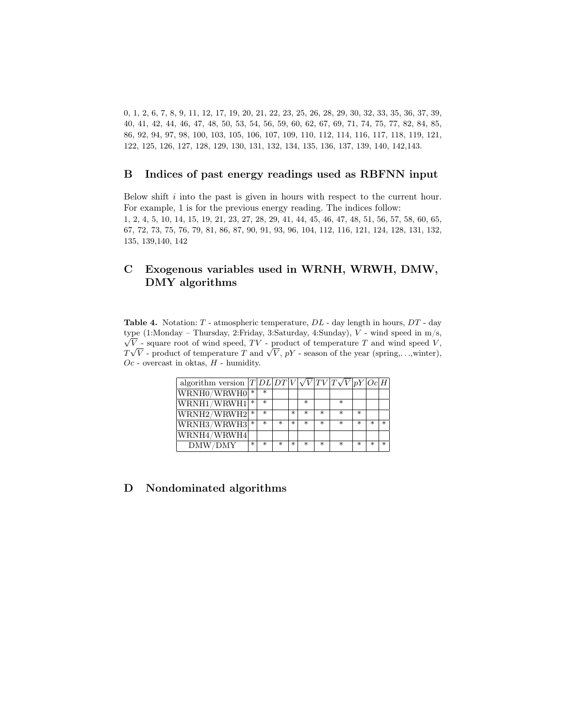0, 1, 2, 6, 7, 8, 9, 11, 12, 17, 19, 20, 21, 22, 23, 25, 26, 28, 29, 30, 32, 33, 35, 36, 37, 39, 40, 41, 42, 44, 46, 47, 48, 50, 53, 54, 56, 59, 60, 62, 67, 69, 71, 74, 75, 77, 82, 84, 85, 86, 92, 94, 97, 98, 100, 103, 105, 106, 107, 109, 110, 112, 114, 116, 117, 118, 119, 121, 122, 125, 126, 127, 128, 129, 130, 131, 132, 134, 135, 136, 137, 139, 140, 142,143.

#### <span id="page-13-2"></span>B Indices of past energy readings used as RBFNN input

Below shift  $i$  into the past is given in hours with respect to the current hour. For example, 1 is for the previous energy reading. The indices follow: 1, 2, 4, 5, 10, 14, 15, 19, 21, 23, 27, 28, 29, 41, 44, 45, 46, 47, 48, 51, 56, 57, 58, 60, 65, 67, 72, 73, 75, 76, 79, 81, 86, 87, 90, 91, 93, 96, 104, 112, 116, 121, 124, 128, 131, 132, 135, 139,140, 142

## <span id="page-13-1"></span>C Exogenous variables used in WRNH, WRWH, DMW, DMY algorithms

<span id="page-13-0"></span>**Table 4.** Notation:  $T$  - atmospheric temperature,  $DL$  - day length in hours,  $DT$  - day type (1:Monday – Thursday, 2:Friday, 3:Saturday, 4:Sunday), √ V - wind speed in m/s,  $V$  - square root of wind speed,  $TV$  - product of temperature  $T$  and wind speed  $V$ ,  $\forall V$  - square root or wind speed,  $IV$  - product or temperature  $T$  and wind speed  $V$ ,  $TV$  -  $V$  -  $V$  -  $V$  -  $V$  -  $S$  asson of the year (spring,...,winter),  $Oc$  - overcast in oktas,  $H$  - humidity.

| algorithm version $ T DL DT V \sqrt{V} TV T\sqrt{V} pY Oc H$ |        |        |         |         |        |   |         |        |   |        |
|--------------------------------------------------------------|--------|--------|---------|---------|--------|---|---------|--------|---|--------|
| WRNH0/WRWH0                                                  | $\ast$ | $\ast$ |         |         |        |   |         |        |   |        |
| WRNH1/WRWH1                                                  | $\ast$ | $\ast$ |         |         | $\ast$ |   | $\ast$  |        |   |        |
| $ WRNH2/WRWH2 $ *                                            |        | $\ast$ |         | $\ast$  | $\ast$ | ж | ж       | $\ast$ |   |        |
| $WRNH3/WRWH3$ <sup>*</sup>                                   |        | $\ast$ | ж       | $\ast$  | $\ast$ | ж | $\ast$  | $\ast$ | ж | $\ast$ |
| WRNH4/WRWH4                                                  |        |        |         |         |        |   |         |        |   |        |
| DMW/DMY                                                      | $\ast$ | $\ast$ | $^\ast$ | $^\ast$ | $\ast$ | ж | $^\ast$ | $\ast$ | ж | $\ast$ |

## <span id="page-13-3"></span>D Nondominated algorithms